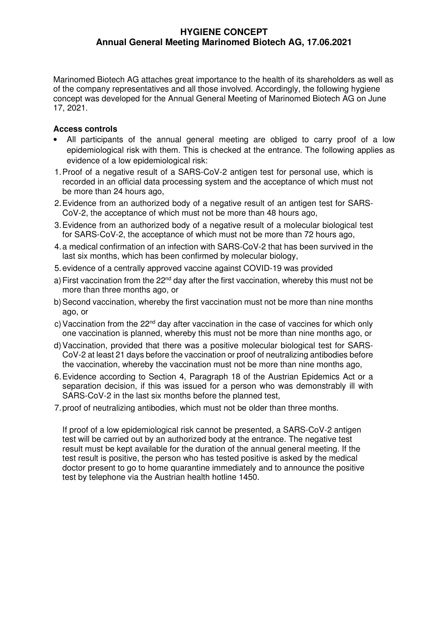## **HYGIENE CONCEPT Annual General Meeting Marinomed Biotech AG, 17.06.2021**

Marinomed Biotech AG attaches great importance to the health of its shareholders as well as of the company representatives and all those involved. Accordingly, the following hygiene concept was developed for the Annual General Meeting of Marinomed Biotech AG on June 17, 2021.

#### **Access controls**

- All participants of the annual general meeting are obliged to carry proof of a low epidemiological risk with them. This is checked at the entrance. The following applies as evidence of a low epidemiological risk:
- 1.Proof of a negative result of a SARS-CoV-2 antigen test for personal use, which is recorded in an official data processing system and the acceptance of which must not be more than 24 hours ago.
- 2.Evidence from an authorized body of a negative result of an antigen test for SARS-CoV-2, the acceptance of which must not be more than 48 hours ago,
- 3.Evidence from an authorized body of a negative result of a molecular biological test for SARS-CoV-2, the acceptance of which must not be more than 72 hours ago,
- 4.a medical confirmation of an infection with SARS-CoV-2 that has been survived in the last six months, which has been confirmed by molecular biology,
- 5.evidence of a centrally approved vaccine against COVID-19 was provided
- a) First vaccination from the  $22^{nd}$  day after the first vaccination, whereby this must not be more than three months ago, or
- b)Second vaccination, whereby the first vaccination must not be more than nine months ago, or
- c) Vaccination from the  $22<sup>nd</sup>$  day after vaccination in the case of vaccines for which only one vaccination is planned, whereby this must not be more than nine months ago, or
- d)Vaccination, provided that there was a positive molecular biological test for SARS-CoV-2 at least 21 days before the vaccination or proof of neutralizing antibodies before the vaccination, whereby the vaccination must not be more than nine months ago,
- 6.Evidence according to Section 4, Paragraph 18 of the Austrian Epidemics Act or a separation decision, if this was issued for a person who was demonstrably ill with SARS-CoV-2 in the last six months before the planned test,
- 7.proof of neutralizing antibodies, which must not be older than three months.

If proof of a low epidemiological risk cannot be presented, a SARS-CoV-2 antigen test will be carried out by an authorized body at the entrance. The negative test result must be kept available for the duration of the annual general meeting. If the test result is positive, the person who has tested positive is asked by the medical doctor present to go to home quarantine immediately and to announce the positive test by telephone via the Austrian health hotline 1450.